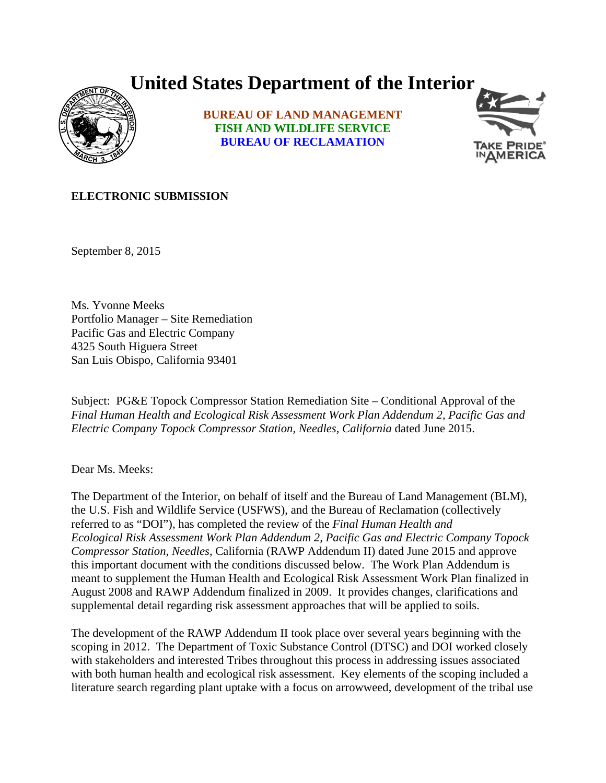## **United States Department of the Interior**



**BUREAU OF LAND MANAGEMENT FISH AND WILDLIFE SERVICE BUREAU OF RECLAMATION**



## **ELECTRONIC SUBMISSION**

September 8, 2015

Ms. Yvonne Meeks Portfolio Manager – Site Remediation Pacific Gas and Electric Company 4325 South Higuera Street San Luis Obispo, California 93401

Subject: PG&E Topock Compressor Station Remediation Site – Conditional Approval of the *Final Human Health and Ecological Risk Assessment Work Plan Addendum 2, Pacific Gas and Electric Company Topock Compressor Station, Needles, California* dated June 2015.

Dear Ms. Meeks:

The Department of the Interior, on behalf of itself and the Bureau of Land Management (BLM), the U.S. Fish and Wildlife Service (USFWS), and the Bureau of Reclamation (collectively referred to as "DOI"), has completed the review of the *Final Human Health and Ecological Risk Assessment Work Plan Addendum 2, Pacific Gas and Electric Company Topock Compressor Station, Needles*, California (RAWP Addendum II) dated June 2015 and approve this important document with the conditions discussed below. The Work Plan Addendum is meant to supplement the Human Health and Ecological Risk Assessment Work Plan finalized in August 2008 and RAWP Addendum finalized in 2009. It provides changes, clarifications and supplemental detail regarding risk assessment approaches that will be applied to soils.

The development of the RAWP Addendum II took place over several years beginning with the scoping in 2012. The Department of Toxic Substance Control (DTSC) and DOI worked closely with stakeholders and interested Tribes throughout this process in addressing issues associated with both human health and ecological risk assessment. Key elements of the scoping included a literature search regarding plant uptake with a focus on arrowweed, development of the tribal use